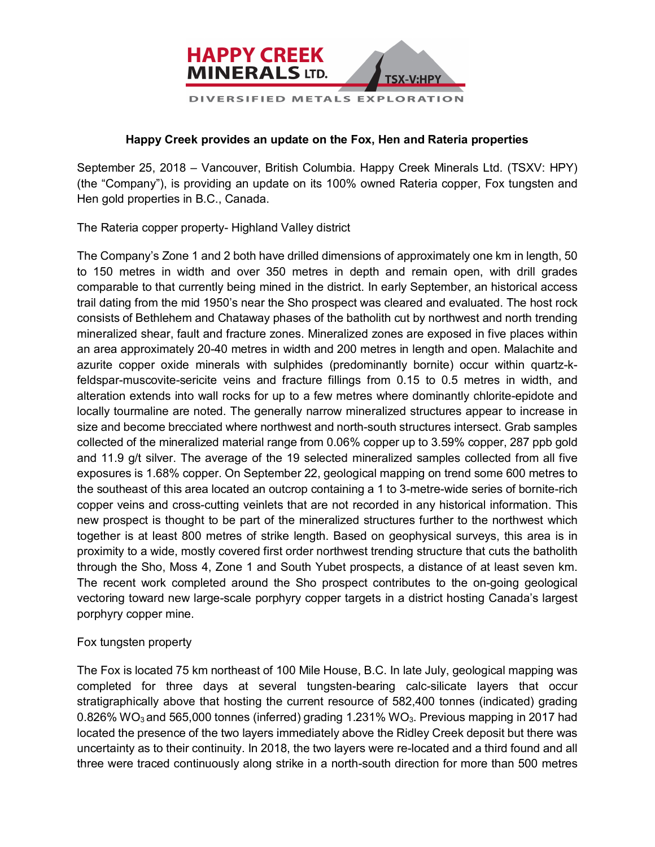

## **Happy Creek provides an update on the Fox, Hen and Rateria properties**

September 25, 2018 – Vancouver, British Columbia. Happy Creek Minerals Ltd. (TSXV: HPY) (the "Company"), is providing an update on its 100% owned Rateria copper, Fox tungsten and Hen gold properties in B.C., Canada.

The Rateria copper property- Highland Valley district

The Company's Zone 1 and 2 both have drilled dimensions of approximately one km in length, 50 to 150 metres in width and over 350 metres in depth and remain open, with drill grades comparable to that currently being mined in the district. In early September, an historical access trail dating from the mid 1950's near the Sho prospect was cleared and evaluated. The host rock consists of Bethlehem and Chataway phases of the batholith cut by northwest and north trending mineralized shear, fault and fracture zones. Mineralized zones are exposed in five places within an area approximately 20-40 metres in width and 200 metres in length and open. Malachite and azurite copper oxide minerals with sulphides (predominantly bornite) occur within quartz-kfeldspar-muscovite-sericite veins and fracture fillings from 0.15 to 0.5 metres in width, and alteration extends into wall rocks for up to a few metres where dominantly chlorite-epidote and locally tourmaline are noted. The generally narrow mineralized structures appear to increase in size and become brecciated where northwest and north-south structures intersect. Grab samples collected of the mineralized material range from 0.06% copper up to 3.59% copper, 287 ppb gold and 11.9 g/t silver. The average of the 19 selected mineralized samples collected from all five exposures is 1.68% copper. On September 22, geological mapping on trend some 600 metres to the southeast of this area located an outcrop containing a 1 to 3-metre-wide series of bornite-rich copper veins and cross-cutting veinlets that are not recorded in any historical information. This new prospect is thought to be part of the mineralized structures further to the northwest which together is at least 800 metres of strike length. Based on geophysical surveys, this area is in proximity to a wide, mostly covered first order northwest trending structure that cuts the batholith through the Sho, Moss 4, Zone 1 and South Yubet prospects, a distance of at least seven km. The recent work completed around the Sho prospect contributes to the on-going geological vectoring toward new large-scale porphyry copper targets in a district hosting Canada's largest porphyry copper mine.

## Fox tungsten property

The Fox is located 75 km northeast of 100 Mile House, B.C. In late July, geological mapping was completed for three days at several tungsten-bearing calc-silicate layers that occur stratigraphically above that hosting the current resource of 582,400 tonnes (indicated) grading 0.826% WO<sub>3</sub> and 565,000 tonnes (inferred) grading 1.231% WO<sub>3</sub>. Previous mapping in 2017 had located the presence of the two layers immediately above the Ridley Creek deposit but there was uncertainty as to their continuity. In 2018, the two layers were re-located and a third found and all three were traced continuously along strike in a north-south direction for more than 500 metres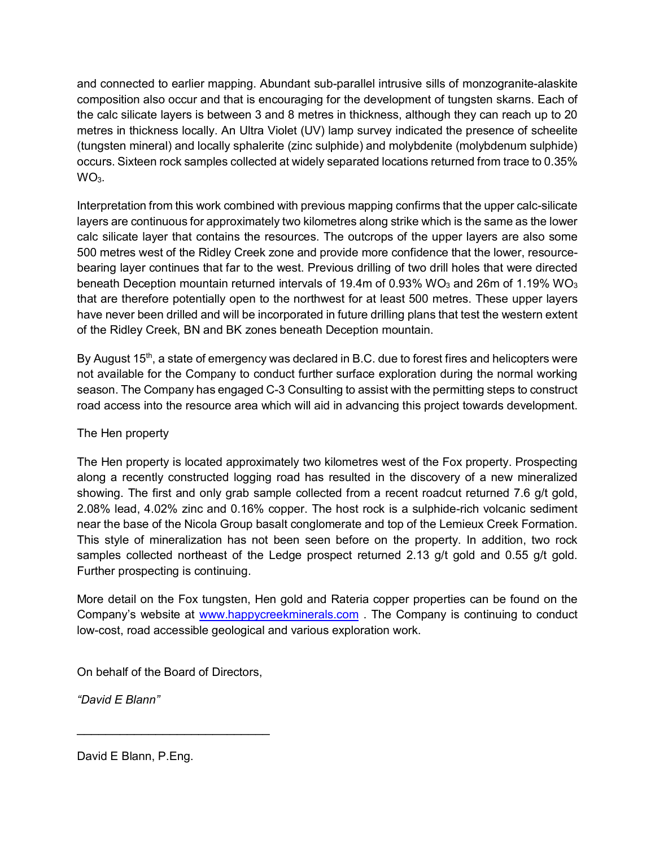and connected to earlier mapping. Abundant sub-parallel intrusive sills of monzogranite-alaskite composition also occur and that is encouraging for the development of tungsten skarns. Each of the calc silicate layers is between 3 and 8 metres in thickness, although they can reach up to 20 metres in thickness locally. An Ultra Violet (UV) lamp survey indicated the presence of scheelite (tungsten mineral) and locally sphalerite (zinc sulphide) and molybdenite (molybdenum sulphide) occurs. Sixteen rock samples collected at widely separated locations returned from trace to 0.35%  $WO<sub>3</sub>$ .

Interpretation from this work combined with previous mapping confirms that the upper calc-silicate layers are continuous for approximately two kilometres along strike which is the same as the lower calc silicate layer that contains the resources. The outcrops of the upper layers are also some 500 metres west of the Ridley Creek zone and provide more confidence that the lower, resourcebearing layer continues that far to the west. Previous drilling of two drill holes that were directed beneath Deception mountain returned intervals of 19.4m of 0.93% WO<sub>3</sub> and 26m of 1.19% WO<sub>3</sub> that are therefore potentially open to the northwest for at least 500 metres. These upper layers have never been drilled and will be incorporated in future drilling plans that test the western extent of the Ridley Creek, BN and BK zones beneath Deception mountain.

By August 15<sup>th</sup>, a state of emergency was declared in B.C. due to forest fires and helicopters were not available for the Company to conduct further surface exploration during the normal working season. The Company has engaged C-3 Consulting to assist with the permitting steps to construct road access into the resource area which will aid in advancing this project towards development.

## The Hen property

The Hen property is located approximately two kilometres west of the Fox property. Prospecting along a recently constructed logging road has resulted in the discovery of a new mineralized showing. The first and only grab sample collected from a recent roadcut returned 7.6 g/t gold, 2.08% lead, 4.02% zinc and 0.16% copper. The host rock is a sulphide-rich volcanic sediment near the base of the Nicola Group basalt conglomerate and top of the Lemieux Creek Formation. This style of mineralization has not been seen before on the property. In addition, two rock samples collected northeast of the Ledge prospect returned 2.13 g/t gold and 0.55 g/t gold. Further prospecting is continuing.

More detail on the Fox tungsten, Hen gold and Rateria copper properties can be found on the Company's website at www.happycreekminerals.com . The Company is continuing to conduct low-cost, road accessible geological and various exploration work.

On behalf of the Board of Directors,

\_\_\_\_\_\_\_\_\_\_\_\_\_\_\_\_\_\_\_\_\_\_\_\_\_\_\_

*"David E Blann"*

David E Blann, P.Eng.